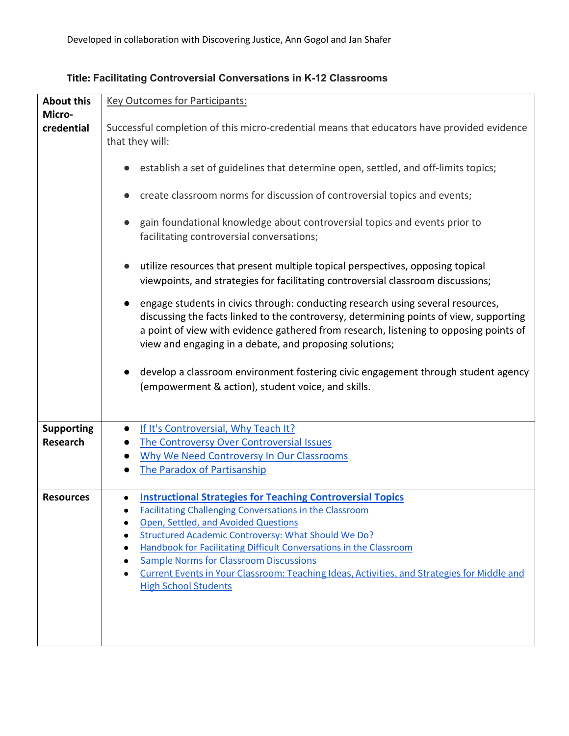| <b>About this</b>                    | <b>Key Outcomes for Participants:</b>                                                                                                                                                                                                                                                                                                                                                                                                                                                                |  |  |
|--------------------------------------|------------------------------------------------------------------------------------------------------------------------------------------------------------------------------------------------------------------------------------------------------------------------------------------------------------------------------------------------------------------------------------------------------------------------------------------------------------------------------------------------------|--|--|
| Micro-<br>credential                 | Successful completion of this micro-credential means that educators have provided evidence<br>that they will:                                                                                                                                                                                                                                                                                                                                                                                        |  |  |
|                                      | establish a set of guidelines that determine open, settled, and off-limits topics;                                                                                                                                                                                                                                                                                                                                                                                                                   |  |  |
|                                      | create classroom norms for discussion of controversial topics and events;<br>$\bullet$                                                                                                                                                                                                                                                                                                                                                                                                               |  |  |
|                                      | gain foundational knowledge about controversial topics and events prior to<br>facilitating controversial conversations;                                                                                                                                                                                                                                                                                                                                                                              |  |  |
|                                      | utilize resources that present multiple topical perspectives, opposing topical<br>$\bullet$<br>viewpoints, and strategies for facilitating controversial classroom discussions;                                                                                                                                                                                                                                                                                                                      |  |  |
|                                      | engage students in civics through: conducting research using several resources,<br>discussing the facts linked to the controversy, determining points of view, supporting<br>a point of view with evidence gathered from research, listening to opposing points of<br>view and engaging in a debate, and proposing solutions;                                                                                                                                                                        |  |  |
|                                      | develop a classroom environment fostering civic engagement through student agency<br>(empowerment & action), student voice, and skills.                                                                                                                                                                                                                                                                                                                                                              |  |  |
| <b>Supporting</b><br><b>Research</b> | If It's Controversial, Why Teach It?<br>The Controversy Over Controversial Issues<br>Why We Need Controversy In Our Classrooms<br><b>The Paradox of Partisanship</b>                                                                                                                                                                                                                                                                                                                                 |  |  |
| <b>Resources</b>                     | <b>Instructional Strategies for Teaching Controversial Topics</b><br><b>Facilitating Challenging Conversations in the Classroom</b><br>Open, Settled, and Avoided Questions<br>Structured Academic Controversy: What Should We Do?<br>Handbook for Facilitating Difficult Conversations in the Classroom<br><b>Sample Norms for Classroom Discussions</b><br>Current Events in Your Classroom: Teaching Ideas, Activities, and Strategies for Middle and<br>$\bullet$<br><b>High School Students</b> |  |  |

## **Title: Facilitating Controversial Conversations in K-12 Classrooms**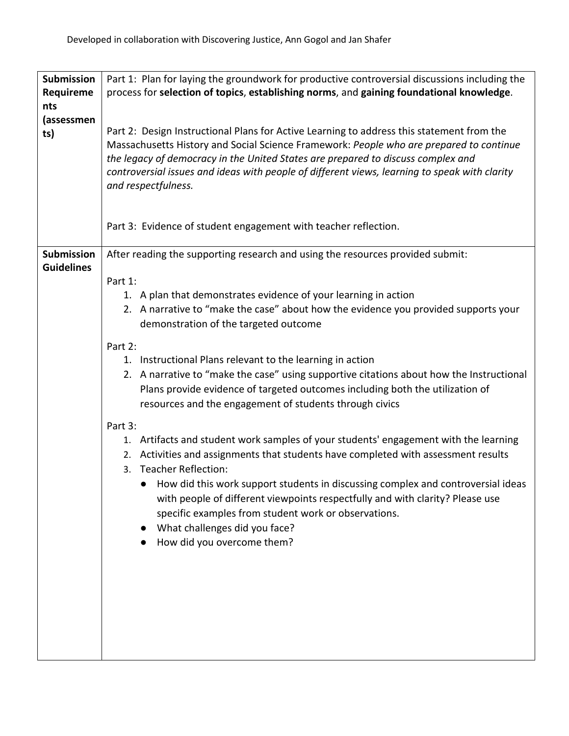| Submission        | Part 1: Plan for laying the groundwork for productive controversial discussions including the                                                                                                                                                                                                                                                                                                    |  |  |
|-------------------|--------------------------------------------------------------------------------------------------------------------------------------------------------------------------------------------------------------------------------------------------------------------------------------------------------------------------------------------------------------------------------------------------|--|--|
| Requireme         | process for selection of topics, establishing norms, and gaining foundational knowledge.                                                                                                                                                                                                                                                                                                         |  |  |
| nts               |                                                                                                                                                                                                                                                                                                                                                                                                  |  |  |
| (assessmen<br>ts) | Part 2: Design Instructional Plans for Active Learning to address this statement from the<br>Massachusetts History and Social Science Framework: People who are prepared to continue<br>the legacy of democracy in the United States are prepared to discuss complex and<br>controversial issues and ideas with people of different views, learning to speak with clarity<br>and respectfulness. |  |  |
|                   | Part 3: Evidence of student engagement with teacher reflection.                                                                                                                                                                                                                                                                                                                                  |  |  |
| <b>Submission</b> | After reading the supporting research and using the resources provided submit:                                                                                                                                                                                                                                                                                                                   |  |  |
| <b>Guidelines</b> |                                                                                                                                                                                                                                                                                                                                                                                                  |  |  |
|                   | Part 1:                                                                                                                                                                                                                                                                                                                                                                                          |  |  |
|                   | 1. A plan that demonstrates evidence of your learning in action                                                                                                                                                                                                                                                                                                                                  |  |  |
|                   | 2. A narrative to "make the case" about how the evidence you provided supports your<br>demonstration of the targeted outcome                                                                                                                                                                                                                                                                     |  |  |
|                   | Part 2:                                                                                                                                                                                                                                                                                                                                                                                          |  |  |
|                   | 1. Instructional Plans relevant to the learning in action                                                                                                                                                                                                                                                                                                                                        |  |  |
|                   | 2. A narrative to "make the case" using supportive citations about how the Instructional<br>Plans provide evidence of targeted outcomes including both the utilization of<br>resources and the engagement of students through civics                                                                                                                                                             |  |  |
|                   | Part 3:                                                                                                                                                                                                                                                                                                                                                                                          |  |  |
|                   | 1. Artifacts and student work samples of your students' engagement with the learning<br>2. Activities and assignments that students have completed with assessment results<br>Teacher Reflection:<br>3.<br>How did this work support students in discussing complex and controversial ideas                                                                                                      |  |  |
|                   | with people of different viewpoints respectfully and with clarity? Please use<br>specific examples from student work or observations.<br>What challenges did you face?<br>How did you overcome them?                                                                                                                                                                                             |  |  |
|                   |                                                                                                                                                                                                                                                                                                                                                                                                  |  |  |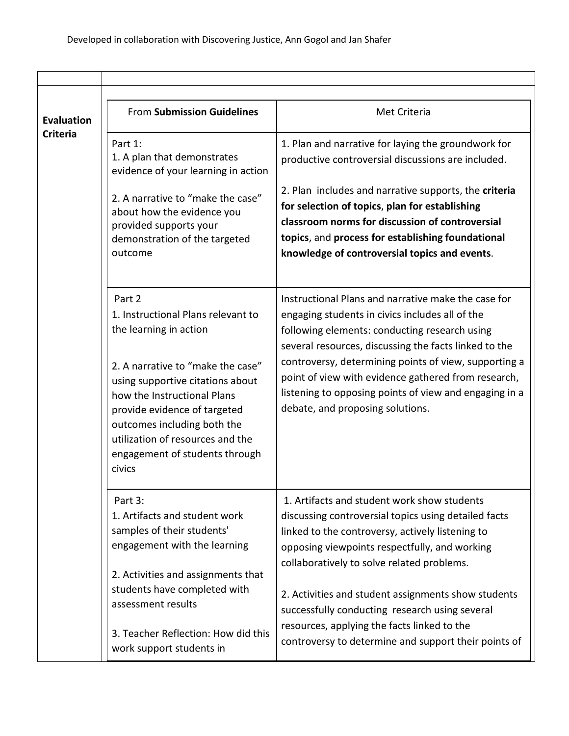| <b>Evaluation</b> | <b>From Submission Guidelines</b>                                                                                                                                                                              | Met Criteria                                                                                                                                                                                                                                                                                                                                                                                                                   |
|-------------------|----------------------------------------------------------------------------------------------------------------------------------------------------------------------------------------------------------------|--------------------------------------------------------------------------------------------------------------------------------------------------------------------------------------------------------------------------------------------------------------------------------------------------------------------------------------------------------------------------------------------------------------------------------|
| <b>Criteria</b>   | Part 1:<br>1. A plan that demonstrates<br>evidence of your learning in action                                                                                                                                  | 1. Plan and narrative for laying the groundwork for<br>productive controversial discussions are included.                                                                                                                                                                                                                                                                                                                      |
|                   | 2. A narrative to "make the case"<br>about how the evidence you<br>provided supports your<br>demonstration of the targeted<br>outcome                                                                          | 2. Plan includes and narrative supports, the criteria<br>for selection of topics, plan for establishing<br>classroom norms for discussion of controversial<br>topics, and process for establishing foundational<br>knowledge of controversial topics and events.                                                                                                                                                               |
|                   | Part 2<br>1. Instructional Plans relevant to<br>the learning in action<br>2. A narrative to "make the case"<br>using supportive citations about<br>how the Instructional Plans<br>provide evidence of targeted | Instructional Plans and narrative make the case for<br>engaging students in civics includes all of the<br>following elements: conducting research using<br>several resources, discussing the facts linked to the<br>controversy, determining points of view, supporting a<br>point of view with evidence gathered from research,<br>listening to opposing points of view and engaging in a<br>debate, and proposing solutions. |
|                   | outcomes including both the<br>utilization of resources and the<br>engagement of students through<br>civics                                                                                                    |                                                                                                                                                                                                                                                                                                                                                                                                                                |
|                   | Part 3:<br>1. Artifacts and student work<br>samples of their students'<br>engagement with the learning<br>2. Activities and assignments that                                                                   | 1. Artifacts and student work show students<br>discussing controversial topics using detailed facts<br>linked to the controversy, actively listening to<br>opposing viewpoints respectfully, and working<br>collaboratively to solve related problems.                                                                                                                                                                         |
|                   | students have completed with<br>assessment results                                                                                                                                                             | 2. Activities and student assignments show students<br>successfully conducting research using several<br>resources, applying the facts linked to the                                                                                                                                                                                                                                                                           |
|                   | 3. Teacher Reflection: How did this<br>work support students in                                                                                                                                                | controversy to determine and support their points of                                                                                                                                                                                                                                                                                                                                                                           |